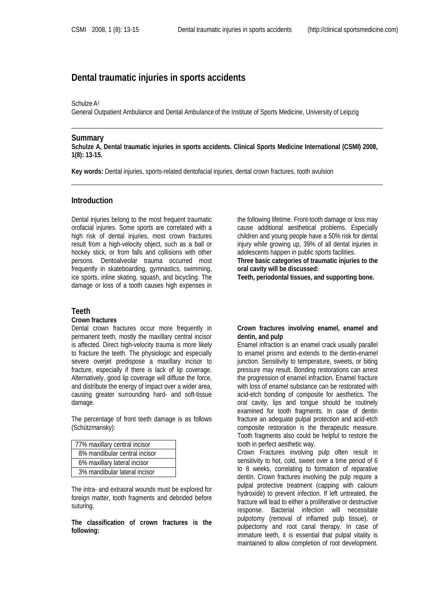# **Dental traumatic injuries in sports accidents**

#### Schulze A1

General Outpatient Ambulance and Dental Ambulance of the Institute of Sports Medicine, University of Leipzig

#### **Summary**

**Schulze A, Dental traumatic injuries in sports accidents. Clinical Sports Medicine International (CSMI) 2008, 1(8): 13-15.**

**Key words:** Dental injuries, sports-related dentofacial injuries, dental crown fractures, tooth avulsion

# **Introduction**

Dental injuries belong to the most frequent traumatic orofacial injuries. Some sports are correlated with a high risk of dental injuries, most crown fractures result from a high-velocity object, such as a ball or hockey stick, or from falls and collisions with other persons. Dentoalveolar trauma occurred most frequently in skateboarding, gymnastics, swimming, ice sports, inline skating, squash, and bicycling. The damage or loss of a tooth causes high expenses in

# **Teeth**

#### **Crown fractures**

Dental crown fractures occur more frequently in permanent teeth, mostly the maxillary central incisor is affected. Direct high-velocity trauma is more likely to fracture the teeth. The physiologic and especially severe overjet predispose a maxillary incisor to fracture, especially if there is lack of lip coverage. Alternatively, good lip coverage will diffuse the force, and distribute the energy of impact over a wider area, causing greater surrounding hard- and soft-tissue damage.

The percentage of front teeth damage is as follows (Schützmansky):

| 77% maxillary central incisor |
|-------------------------------|
| 8% mandibular central incisor |
| 6% maxillary lateral incisor  |
| 3% mandibular lateral incisor |

The intra- and extraoral wounds must be explored for foreign matter, tooth fragments and debrided before suturing.

**The classification of crown fractures is the following:** 

the following lifetime. Front-tooth damage or loss may cause additional aesthetical problems. Especially children and young people have a 50% risk for dental injury while growing up, 39% of all dental injuries in adolescents happen in public sports facilities.

**Three basic categories of traumatic injuries to the oral cavity will be discussed:** 

**Teeth, periodontal tissues, and supporting bone.** 

### **Crown fractures involving enamel, enamel and dentin, and pulp**

Enamel infraction is an enamel crack usually parallel to enamel prisms and extends to the dentin-enamel junction. Sensitivity to temperature, sweets, or biting pressure may result. Bonding restorations can arrest the progression of enamel infraction. Enamel fracture with loss of enamel substance can be restorated with acid-etch bonding of composite for aesthetics. The oral cavity, lips and tongue should be routinely examined for tooth fragments. In case of dentin fracture an adequate pulpal protection and acid-etch composite restoration is the therapeutic measure. Tooth fragments also could be helpful to restore the tooth in perfect aesthetic way.

Crown Fractures involving pulp often result in sensitivity to hot, cold, sweet over a time period of 6 to 8 weeks, correlating to formation of reparative dentin. Crown fractures involving the pulp require a pulpal protective treatment (capping with calcium hydroxide) to prevent infection. If left untreated, the fracture will lead to either a proliferative or destructive response. Bacterial infection will necessitate pulpotomy (removal of inflamed pulp tissue), or pulpectomy and root canal therapy. In case of immature teeth, it is essential that pulpal vitality is maintained to allow completion of root development.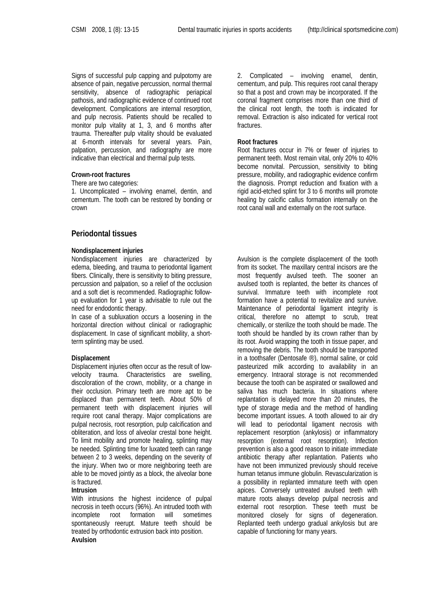Signs of successful pulp capping and pulpotomy are absence of pain, negative percussion, normal thermal sensitivity, absence of radiographic periapical pathosis, and radiographic evidence of continued root development. Complications are internal resorption, and pulp necrosis. Patients should be recalled to monitor pulp vitality at 1, 3, and 6 months after trauma. Thereafter pulp vitality should be evaluated at 6-month intervals for several years. Pain, palpation, percussion, and radiography are more indicative than electrical and thermal pulp tests.

### **Crown-root fractures**

There are two categories:

1. Uncomplicated – involving enamel, dentin, and cementum. The tooth can be restored by bonding or crown

# **Periodontal tissues**

### **Nondisplacement injuries**

Nondisplacement injuries are characterized by edema, bleeding, and trauma to periodontal ligament fibers. Clinically, there is sensitivity to biting pressure, percussion and palpation, so a relief of the occlusion and a soft diet is recommended. Radiographic followup evaluation for 1 year is advisable to rule out the need for endodontic therapy.

In case of a subluxation occurs a loosening in the horizontal direction without clinical or radiographic displacement. In case of significant mobility, a shortterm splinting may be used.

### **Displacement**

Displacement injuries often occur as the result of lowvelocity trauma. Characteristics are swelling, discoloration of the crown, mobility, or a change in their occlusion. Primary teeth are more apt to be displaced than permanent teeth. About 50% of permanent teeth with displacement injuries will require root canal therapy. Major complications are pulpal necrosis, root resorption, pulp calcification and obliteration, and loss of alveolar crestal bone height. To limit mobility and promote healing, splinting may be needed. Splinting time for luxated teeth can range between 2 to 3 weeks, depending on the severity of the injury. When two or more neighboring teeth are able to be moved jointly as a block, the alveolar bone is fractured.

#### **Intrusion**

With intrusions the highest incidence of pulpal necrosis in teeth occurs (96%). An intruded tooth with incomplete root formation will sometimes spontaneously reerupt. Mature teeth should be treated by orthodontic extrusion back into position. **Avulsion** 

2. Complicated – involving enamel, dentin, cementum, and pulp. This requires root canal therapy so that a post and crown may be incorporated. If the coronal fragment comprises more than one third of the clinical root length, the tooth is indicated for removal. Extraction is also indicated for vertical root fractures.

### **Root fractures**

Root fractures occur in 7% or fewer of injuries to permanent teeth. Most remain vital, only 20% to 40% become nonvital. Percussion, sensitivity to biting pressure, mobility, and radiographic evidence confirm the diagnosis. Prompt reduction and fixation with a rigid acid-etched splint for 3 to 6 months will promote healing by calcific callus formation internally on the root canal wall and externally on the root surface.

Avulsion is the complete displacement of the tooth from its socket. The maxillary central incisors are the most frequently avulsed teeth. The sooner an avulsed tooth is replanted, the better its chances of survival. Immature teeth with incomplete root formation have a potential to revitalize and survive. Maintenance of periodontal ligament integrity is critical, therefore no attempt to scrub, treat chemically, or sterilize the tooth should be made. The tooth should be handled by its crown rather than by its root. Avoid wrapping the tooth in tissue paper, and removing the debris. The tooth should be transported in a toothsafer (Dentosafe ®), normal saline, or cold pasteurized milk according to availability in an emergency. Intraoral storage is not recommended because the tooth can be aspirated or swallowed and saliva has much bacteria. In situations where replantation is delayed more than 20 minutes, the type of storage media and the method of handling become important issues. A tooth allowed to air dry will lead to periodontal ligament necrosis with replacement resorption (ankylosis) or inflammatory resorption (external root resorption). Infection prevention is also a good reason to initiate immediate antibiotic therapy after replantation. Patients who have not been immunized previously should receive human tetanus immune globulin. Revascularization is a possibility in replanted immature teeth with open apices. Conversely untreated avulsed teeth with mature roots always develop pulpal necrosis and external root resorption. These teeth must be monitored closely for signs of degeneration. Replanted teeth undergo gradual ankylosis but are capable of functioning for many years.